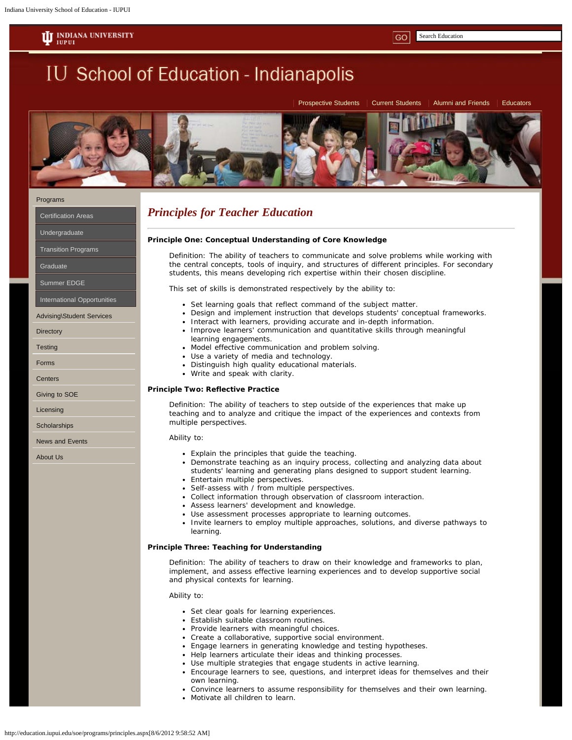**II** INDIANA UNIVERSITY

**IU School of Education - Indianapolis** 

Search Education



### [Programs](http://education.iupui.edu/soe/programs/undergraduate/teacher.aspx)

[Certification Areas](http://education.iupui.edu/soe/programs/dual.aspx)

[Undergraduate](http://education.iupui.edu/soe/programs/undergraduate/lttl.aspx)

[Transition Programs](http://education.iupui.edu/soe/programs/graduate/t2t.aspx)

**[Graduate](http://education.iupui.edu/soe/programs/graduate/index.aspx)** 

[Summer EDGE](http://education.iupui.edu/programs/summer/index.aspx)

[International Opportunities](http://education.iupui.edu/soe/programs/graduate/international/index.aspx)

[Advising\Student Services](http://education.iupui.edu/soe/studentservices/hours.aspx)

**[Directory](http://education.iupui.edu/soe/directory/index.aspx)** 

**[Testing](http://education.iupui.edu/soe/testing/praxis/index.aspx)** 

[Forms](http://education.iupui.edu/soe/forms/applications.aspx)

**[Centers](http://education.iupui.edu/soe/comingsoon/index.aspx)** 

[Giving to SOE](http://education.iupui.edu/soe/officedevelopment/index.aspx)

[Licensing](http://education.iupui.edu/soe/licensing/index.aspx)

**[Scholarships](http://education.iupui.edu/soe/forms/allscholarships.aspx)** 

[News and Events](http://education.iupui.edu/soe/news/index.aspx)

[About Us](http://education.iupui.edu/soe/contact/index.aspx)

# *Principles for Teacher Education*

# **Principle One: Conceptual Understanding of Core Knowledge**

*Definition: The ability of teachers to communicate and solve problems while working with the central concepts, tools of inquiry, and structures of different principles. For secondary students, this means developing rich expertise within their chosen discipline.*

This set of skills is demonstrated respectively by the ability to:

- Set learning goals that reflect command of the subject matter.
- Design and implement instruction that develops students' conceptual frameworks.
- Interact with learners, providing accurate and in-depth information.
- Improve learners' communication and quantitative skills through meaningful learning engagements.
- Model effective communication and problem solving.
- Use a variety of media and technology.
- Distinguish high quality educational materials.
- Write and speak with clarity.

# **Principle Two: Reflective Practice**

*Definition: The ability of teachers to step outside of the experiences that make up teaching and to analyze and critique the impact of the experiences and contexts from multiple perspectives.*

#### Ability to:

- Explain the principles that guide the teaching.
- Demonstrate teaching as an inquiry process, collecting and analyzing data about students' learning and generating plans designed to support student learning.
- Entertain multiple perspectives.
- Self-assess with / from multiple perspectives.
- Collect information through observation of classroom interaction.
- Assess learners' development and knowledge.
- Use assessment processes appropriate to learning outcomes.
- Invite learners to employ multiple approaches, solutions, and diverse pathways to learning.

### **Principle Three: Teaching for Understanding**

*Definition: The ability of teachers to draw on their knowledge and frameworks to plan, implement, and assess effective learning experiences and to develop supportive social and physical contexts for learning.*

Ability to:

- Set clear goals for learning experiences.
- Establish suitable classroom routines.
- Provide learners with meaningful choices.
- Create a collaborative, supportive social environment.
- Engage learners in generating knowledge and testing hypotheses.
- Help learners articulate their ideas and thinking processes.
- Use multiple strategies that engage students in active learning.
- Encourage learners to see, questions, and interpret ideas for themselves and their own learning.
- Convince learners to assume responsibility for themselves and their own learning.
- Motivate all children to learn.

[Prospective Students](http://education.iupui.edu/soe/studentservices/prospective.aspx) | [Current Students](http://education.iupui.edu/soe/studentservices/current.aspx) | [Alumni and Friends](http://alumni.iupui.edu/education/) | [Educators](http://education.iupui.edu/soe/educators/index.aspx)

GO